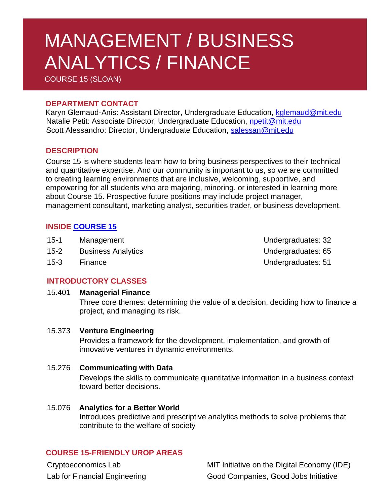# MANAGEMENT / BUSINESS ANALYTICS / FINANCE

COURSE 15 (SLOAN)

## **DEPARTMENT CONTACT**

 Karyn Glemaud-Anis: Assistant Director, Undergraduate Education, [kglemaud@mit.edu](mailto:kglemaud@mit.edu) Natalie Petit: Associate Director, Undergraduate Education, [npetit@mit.edu](mailto:npetit@mit.edu) Scott Alessandro: Director, Undergraduate Education, [salessan@mit.edu](mailto:salessan@mit.edu)

# **DESCRIPTION**

Course 15 is where students learn how to bring business perspectives to their technical and quantitative expertise. And our community is important to us, so we are committed to creating learning environments that are inclusive, welcoming, supportive, and empowering for all students who are majoring, minoring, or interested in learning more about Course 15. Prospective future positions may include project manager, management consultant, marketing analyst, securities trader, or business development.

# **INSIDE [COURSE](https://mitsloan.mit.edu/undergrad) 15**

- 15-1 Management **International Management** Controller Management Controller Management Controller Management Con
- 15-2 Business Analytics **Network** Controller Mateurs and Mundergraduates: 65
- 

15-3 Finance Undergraduates: 51

# **INTRODUCTORY CLASSES**

## 15.401 **Managerial Finance**

Three core themes: determining the value of a decision, deciding how to finance a project, and managing its risk.

## 15.373 **Venture Engineering**

Provides a framework for the development, implementation, and growth of innovative ventures in dynamic environments.

#### 15.276 **Communicating with Data**

Develops the skills to communicate quantitative information in a business context toward better decisions.

15.076 **Analytics for a Better World** Introduces predictive and prescriptive analytics methods to solve problems that contribute to the welfare of society

# **COURSE 15-FRIENDLY UROP AREAS**

Cryptoeconomics Lab MIT Initiative on the Digital Economy (IDE) Lab for Financial Engineering Good Companies, Good Jobs Initiative